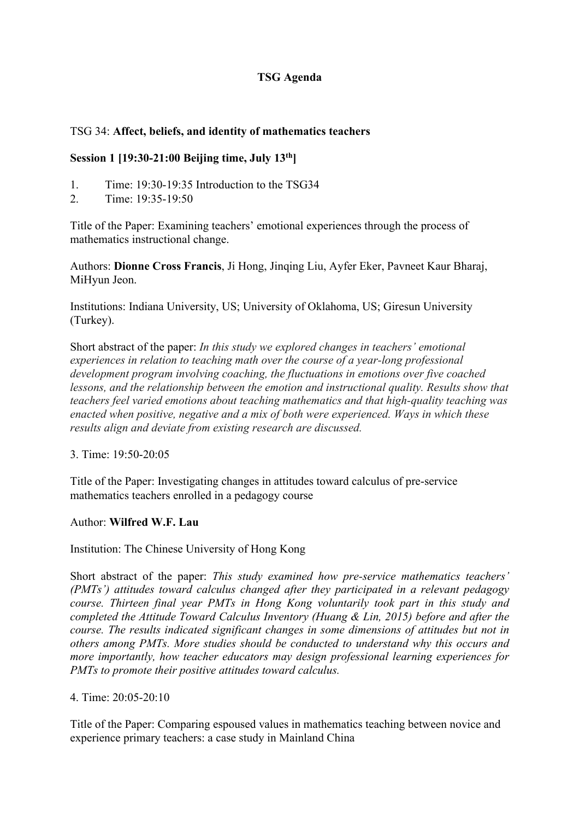# **TSG Agenda**

### TSG 34: **Affect, beliefs, and identity of mathematics teachers**

#### **Session 1 [19:30-21:00 Beijing time, July 13th]**

- 1. Time: 19:30-19:35 Introduction to the TSG34
- 2. Time: 19:35-19:50

Title of the Paper: Examining teachers' emotional experiences through the process of mathematics instructional change.

Authors: **Dionne Cross Francis**, Ji Hong, Jinqing Liu, Ayfer Eker, Pavneet Kaur Bharaj, MiHyun Jeon.

Institutions: Indiana University, US; University of Oklahoma, US; Giresun University (Turkey).

Short abstract of the paper: *In this study we explored changes in teachers' emotional experiences in relation to teaching math over the course of a year-long professional development program involving coaching, the fluctuations in emotions over five coached lessons, and the relationship between the emotion and instructional quality. Results show that teachers feel varied emotions about teaching mathematics and that high-quality teaching was enacted when positive, negative and a mix of both were experienced. Ways in which these results align and deviate from existing research are discussed.*

3. Time: 19:50-20:05

Title of the Paper: Investigating changes in attitudes toward calculus of pre-service mathematics teachers enrolled in a pedagogy course

#### Author: **Wilfred W.F. Lau**

Institution: The Chinese University of Hong Kong

Short abstract of the paper: *This study examined how pre-service mathematics teachers' (PMTs') attitudes toward calculus changed after they participated in a relevant pedagogy course. Thirteen final year PMTs in Hong Kong voluntarily took part in this study and completed the Attitude Toward Calculus Inventory (Huang & Lin, 2015) before and after the course. The results indicated significant changes in some dimensions of attitudes but not in others among PMTs. More studies should be conducted to understand why this occurs and more importantly, how teacher educators may design professional learning experiences for PMTs to promote their positive attitudes toward calculus.*

#### 4. Time: 20:05-20:10

Title of the Paper: Comparing espoused values in mathematics teaching between novice and experience primary teachers: a case study in Mainland China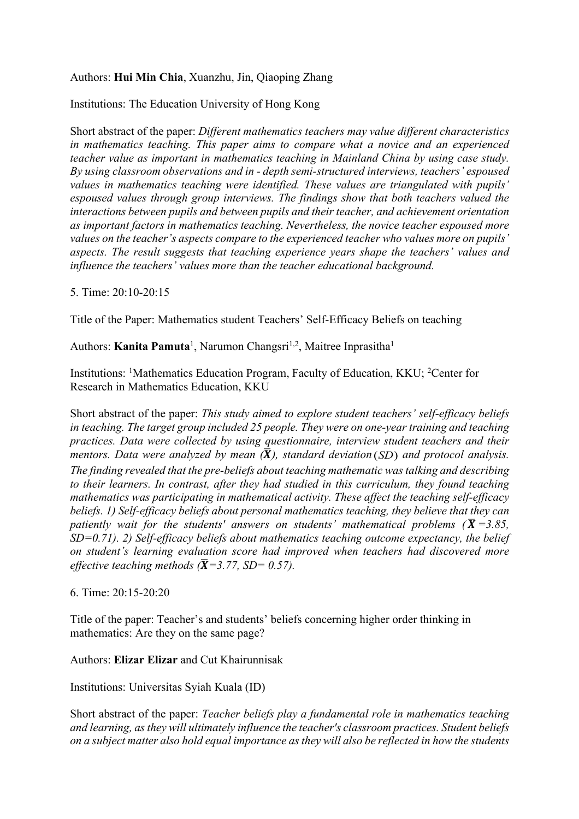# Authors: **Hui Min Chia**, Xuanzhu, Jin, Qiaoping Zhang

Institutions: The Education University of Hong Kong

Short abstract of the paper: *Different mathematics teachers may value different characteristics in mathematics teaching. This paper aims to compare what a novice and an experienced teacher value as important in mathematics teaching in Mainland China by using case study. By using classroom observations and in - depth semi-structured interviews, teachers' espoused values in mathematics teaching were identified. These values are triangulated with pupils' espoused values through group interviews. The findings show that both teachers valued the interactions between pupils and between pupils and their teacher, and achievement orientation as important factors in mathematics teaching. Nevertheless, the novice teacher espoused more values on the teacher's aspects compare to the experienced teacher who values more on pupils' aspects. The result suggests that teaching experience years shape the teachers' values and influence the teachers' values more than the teacher educational background.*

5. Time: 20:10-20:15

Title of the Paper: Mathematics student Teachers' Self-Efficacy Beliefs on teaching

Authors: **Kanita Pamuta<sup>1</sup>**, Narumon Changsri<sup>1,2</sup>, Maitree Inprasitha<sup>1</sup>

Institutions: <sup>1</sup>Mathematics Education Program, Faculty of Education, KKU; <sup>2</sup>Center for Research in Mathematics Education, KKU

Short abstract of the paper: *This study aimed to explore student teachers' self-efficacy beliefs in teaching. The target group included 25 people. They were on one-year training and teaching practices. Data were collected by using questionnaire, interview student teachers and their mentors. Data were analyzed by mean*  $(\bar{\mathbf{X}})$ , standard deviation(SD) and protocol analysis. *The finding revealed that the pre-beliefs about teaching mathematic was talking and describing to their learners. In contrast, after they had studied in this curriculum, they found teaching mathematics was participating in mathematical activity. These affect the teaching self-efficacy beliefs. 1) Self-efficacy beliefs about personal mathematics teaching, they believe that they can patiently wait for the students' answers on students' mathematical problems (* $\overline{X}$  *=3.85, SD=0.71). 2) Self-efficacy beliefs about mathematics teaching outcome expectancy, the belief on student's learning evaluation score had improved when teachers had discovered more effective teaching methods (* $\overline{X}$ *=3.77, SD= 0.57).* 

#### 6. Time: 20:15-20:20

Title of the paper: Teacher's and students' beliefs concerning higher order thinking in mathematics: Are they on the same page?

Authors: **Elizar Elizar** and Cut Khairunnisak

Institutions: Universitas Syiah Kuala (ID)

Short abstract of the paper: *Teacher beliefs play a fundamental role in mathematics teaching and learning, as they will ultimately influence the teacher's classroom practices. Student beliefs on a subject matter also hold equal importance as they will also be reflected in how the students*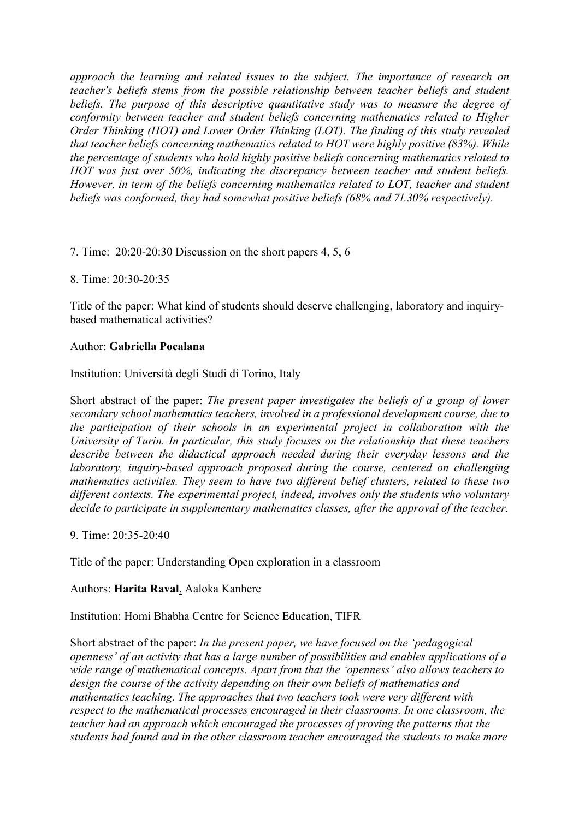*approach the learning and related issues to the subject. The importance of research on teacher's beliefs stems from the possible relationship between teacher beliefs and student beliefs. The purpose of this descriptive quantitative study was to measure the degree of conformity between teacher and student beliefs concerning mathematics related to Higher Order Thinking (HOT) and Lower Order Thinking (LOT). The finding of this study revealed that teacher beliefs concerning mathematics related to HOT were highly positive (83%). While the percentage of students who hold highly positive beliefs concerning mathematics related to HOT was just over 50%, indicating the discrepancy between teacher and student beliefs. However, in term of the beliefs concerning mathematics related to LOT, teacher and student beliefs was conformed, they had somewhat positive beliefs (68% and 71.30% respectively).* 

7. Time: 20:20-20:30 Discussion on the short papers 4, 5, 6

8. Time: 20:30-20:35

Title of the paper: What kind of students should deserve challenging, laboratory and inquirybased mathematical activities?

#### Author: **Gabriella Pocalana**

Institution: Università degli Studi di Torino, Italy

Short abstract of the paper: *The present paper investigates the beliefs of a group of lower secondary school mathematics teachers, involved in a professional development course, due to the participation of their schools in an experimental project in collaboration with the University of Turin. In particular, this study focuses on the relationship that these teachers describe between the didactical approach needed during their everyday lessons and the laboratory, inquiry-based approach proposed during the course, centered on challenging mathematics activities. They seem to have two different belief clusters, related to these two different contexts. The experimental project, indeed, involves only the students who voluntary decide to participate in supplementary mathematics classes, after the approval of the teacher.*

9. Time: 20:35-20:40

Title of the paper: Understanding Open exploration in a classroom

#### Authors: **Harita Raval**, Aaloka Kanhere

Institution: Homi Bhabha Centre for Science Education, TIFR

Short abstract of the paper: *In the present paper, we have focused on the 'pedagogical openness' of an activity that has a large number of possibilities and enables applications of a wide range of mathematical concepts. Apart from that the 'openness' also allows teachers to design the course of the activity depending on their own beliefs of mathematics and mathematics teaching. The approaches that two teachers took were very different with respect to the mathematical processes encouraged in their classrooms. In one classroom, the teacher had an approach which encouraged the processes of proving the patterns that the students had found and in the other classroom teacher encouraged the students to make more*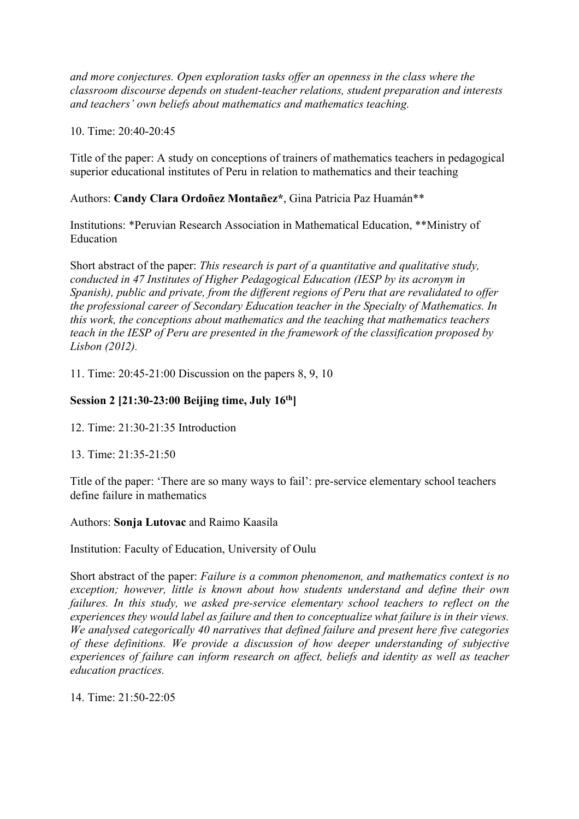*and more conjectures. Open exploration tasks offer an openness in the class where the classroom discourse depends on student-teacher relations, student preparation and interests and teachers' own beliefs about mathematics and mathematics teaching.*

10. Time: 20:40-20:45

Title of the paper: A study on conceptions of trainers of mathematics teachers in pedagogical superior educational institutes of Peru in relation to mathematics and their teaching

Authors: **Candy Clara Ordoñez Montañez\***, Gina Patricia Paz Huamán\*\*

Institutions: \*Peruvian Research Association in Mathematical Education, \*\*Ministry of Education

Short abstract of the paper: *This research is part of a quantitative and qualitative study, conducted in 47 Institutes of Higher Pedagogical Education (IESP by its acronym in Spanish), public and private, from the different regions of Peru that are revalidated to offer the professional career of Secondary Education teacher in the Specialty of Mathematics. In this work, the conceptions about mathematics and the teaching that mathematics teachers teach in the IESP of Peru are presented in the framework of the classification proposed by Lisbon (2012).* 

11. Time: 20:45-21:00 Discussion on the papers 8, 9, 10

## **Session 2 [21:30-23:00 Beijing time, July 16th]**

12. Time: 21:30-21:35 Introduction

13. Time: 21:35-21:50

Title of the paper: 'There are so many ways to fail': pre-service elementary school teachers define failure in mathematics

#### Authors: **Sonja Lutovac** and Raimo Kaasila

Institution: Faculty of Education, University of Oulu

Short abstract of the paper: *Failure is a common phenomenon, and mathematics context is no exception; however, little is known about how students understand and define their own failures. In this study, we asked pre-service elementary school teachers to reflect on the experiences they would label as failure and then to conceptualize what failure is in their views. We analysed categorically 40 narratives that defined failure and present here five categories of these definitions. We provide a discussion of how deeper understanding of subjective experiences of failure can inform research on affect, beliefs and identity as well as teacher education practices.*

14. Time: 21:50-22:05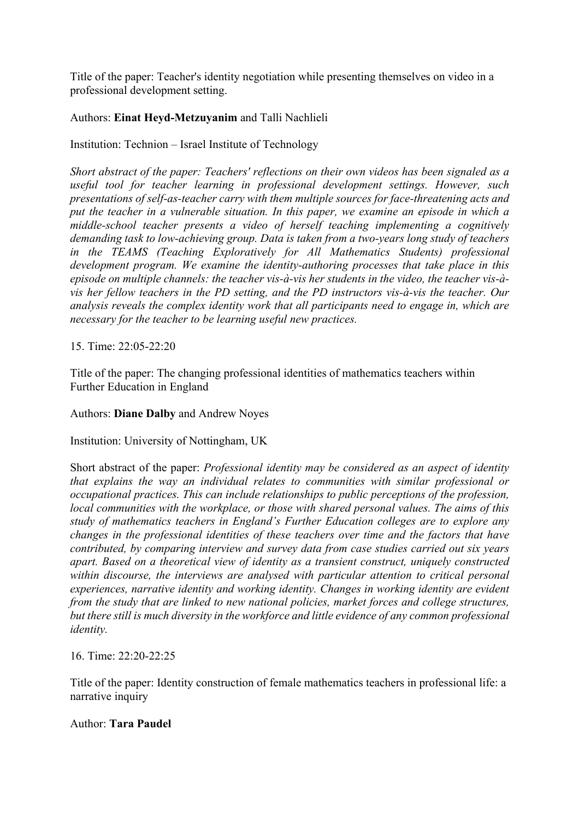Title of the paper: Teacher's identity negotiation while presenting themselves on video in a professional development setting.

# Authors: **Einat Heyd-Metzuyanim** and Talli Nachlieli

# Institution: Technion – Israel Institute of Technology

*Short abstract of the paper: Teachers' reflections on their own videos has been signaled as a useful tool for teacher learning in professional development settings. However, such presentations of self-as-teacher carry with them multiple sources for face-threatening acts and put the teacher in a vulnerable situation. In this paper, we examine an episode in which a middle-school teacher presents a video of herself teaching implementing a cognitively demanding task to low-achieving group. Data is taken from a two-years long study of teachers in the TEAMS (Teaching Exploratively for All Mathematics Students) professional development program. We examine the identity-authoring processes that take place in this episode on multiple channels: the teacher vis-à-vis her students in the video, the teacher vis-àvis her fellow teachers in the PD setting, and the PD instructors vis-à-vis the teacher. Our analysis reveals the complex identity work that all participants need to engage in, which are necessary for the teacher to be learning useful new practices.* 

15. Time: 22:05-22:20

Title of the paper: The changing professional identities of mathematics teachers within Further Education in England

## Authors: **Diane Dalby** and Andrew Noyes

## Institution: University of Nottingham, UK

Short abstract of the paper: *Professional identity may be considered as an aspect of identity that explains the way an individual relates to communities with similar professional or occupational practices. This can include relationships to public perceptions of the profession, local communities with the workplace, or those with shared personal values. The aims of this study of mathematics teachers in England's Further Education colleges are to explore any changes in the professional identities of these teachers over time and the factors that have contributed, by comparing interview and survey data from case studies carried out six years apart. Based on a theoretical view of identity as a transient construct, uniquely constructed within discourse, the interviews are analysed with particular attention to critical personal experiences, narrative identity and working identity. Changes in working identity are evident from the study that are linked to new national policies, market forces and college structures, but there still is much diversity in the workforce and little evidence of any common professional identity.*

## 16. Time: 22:20-22:25

Title of the paper: Identity construction of female mathematics teachers in professional life: a narrative inquiry

## Author: **Tara Paudel**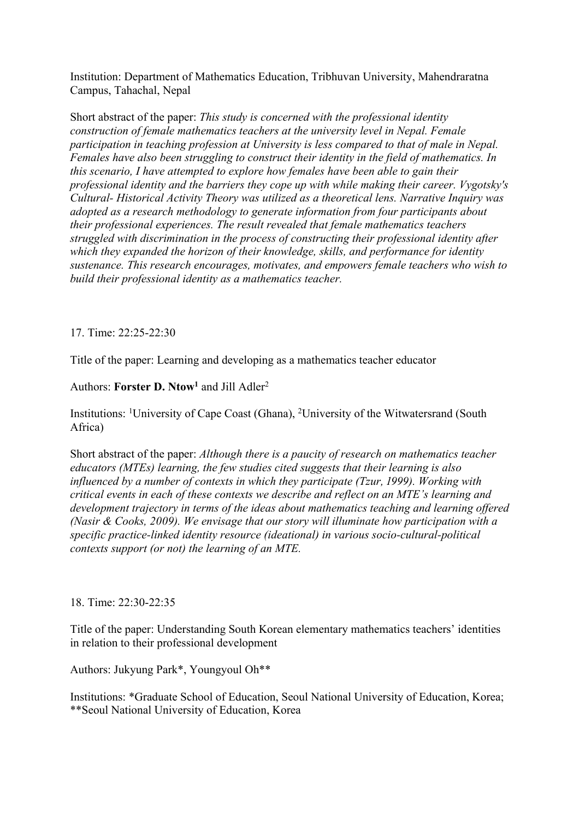Institution: Department of Mathematics Education, Tribhuvan University, Mahendraratna Campus, Tahachal, Nepal

Short abstract of the paper: *This study is concerned with the professional identity construction of female mathematics teachers at the university level in Nepal. Female participation in teaching profession at University is less compared to that of male in Nepal. Females have also been struggling to construct their identity in the field of mathematics. In this scenario, I have attempted to explore how females have been able to gain their professional identity and the barriers they cope up with while making their career. Vygotsky's Cultural- Historical Activity Theory was utilized as a theoretical lens. Narrative Inquiry was adopted as a research methodology to generate information from four participants about their professional experiences. The result revealed that female mathematics teachers struggled with discrimination in the process of constructing their professional identity after which they expanded the horizon of their knowledge, skills, and performance for identity sustenance. This research encourages, motivates, and empowers female teachers who wish to build their professional identity as a mathematics teacher.* 

#### 17. Time: 22:25-22:30

Title of the paper: Learning and developing as a mathematics teacher educator

Authors: **Forster D. Ntow<sup>1</sup>** and Jill Adler<sup>2</sup>

Institutions: <sup>1</sup>University of Cape Coast (Ghana), <sup>2</sup>University of the Witwatersrand (South Africa)

Short abstract of the paper: *Although there is a paucity of research on mathematics teacher educators (MTEs) learning, the few studies cited suggests that their learning is also influenced by a number of contexts in which they participate (Tzur, 1999). Working with critical events in each of these contexts we describe and reflect on an MTE's learning and development trajectory in terms of the ideas about mathematics teaching and learning offered (Nasir & Cooks, 2009). We envisage that our story will illuminate how participation with a specific practice-linked identity resource (ideational) in various socio-cultural-political contexts support (or not) the learning of an MTE.*

#### 18. Time: 22:30-22:35

Title of the paper: Understanding South Korean elementary mathematics teachers' identities in relation to their professional development

Authors: Jukyung Park\*, Youngyoul Oh\*\*

Institutions: \*Graduate School of Education, Seoul National University of Education, Korea; \*\*Seoul National University of Education, Korea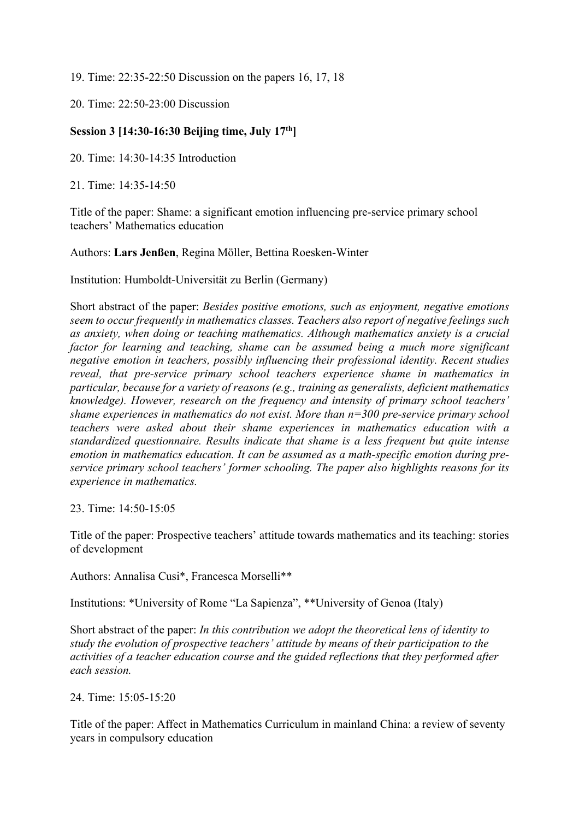19. Time: 22:35-22:50 Discussion on the papers 16, 17, 18

20. Time: 22:50-23:00 Discussion

# **Session 3 [14:30-16:30 Beijing time, July 17th]**

20. Time: 14:30-14:35 Introduction

21. Time: 14:35-14:50

Title of the paper: Shame: a significant emotion influencing pre-service primary school teachers' Mathematics education

#### Authors: **Lars Jenßen**, Regina Möller, Bettina Roesken-Winter

Institution: Humboldt-Universität zu Berlin (Germany)

Short abstract of the paper: *Besides positive emotions, such as enjoyment, negative emotions seem to occur frequently in mathematics classes. Teachers also report of negative feelings such as anxiety, when doing or teaching mathematics. Although mathematics anxiety is a crucial factor for learning and teaching, shame can be assumed being a much more significant negative emotion in teachers, possibly influencing their professional identity. Recent studies reveal, that pre-service primary school teachers experience shame in mathematics in particular, because for a variety of reasons (e.g., training as generalists, deficient mathematics knowledge). However, research on the frequency and intensity of primary school teachers' shame experiences in mathematics do not exist. More than n=300 pre-service primary school teachers were asked about their shame experiences in mathematics education with a standardized questionnaire. Results indicate that shame is a less frequent but quite intense emotion in mathematics education. It can be assumed as a math-specific emotion during preservice primary school teachers' former schooling. The paper also highlights reasons for its experience in mathematics.*

23. Time: 14:50-15:05

Title of the paper: Prospective teachers' attitude towards mathematics and its teaching: stories of development

Authors: Annalisa Cusi\*, Francesca Morselli\*\*

Institutions: \*University of Rome "La Sapienza", \*\*University of Genoa (Italy)

Short abstract of the paper: *In this contribution we adopt the theoretical lens of identity to study the evolution of prospective teachers' attitude by means of their participation to the activities of a teacher education course and the guided reflections that they performed after each session.* 

24. Time: 15:05-15:20

Title of the paper: Affect in Mathematics Curriculum in mainland China: a review of seventy years in compulsory education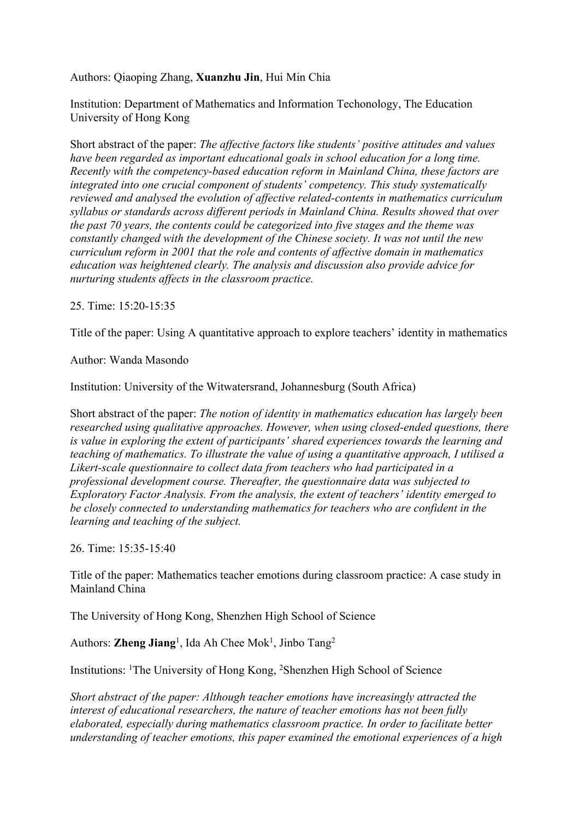## Authors: Qiaoping Zhang, **Xuanzhu Jin**, Hui Min Chia

Institution: Department of Mathematics and Information Techonology, The Education University of Hong Kong

Short abstract of the paper: *The affective factors like students' positive attitudes and values have been regarded as important educational goals in school education for a long time. Recently with the competency-based education reform in Mainland China, these factors are integrated into one crucial component of students' competency. This study systematically reviewed and analysed the evolution of affective related-contents in mathematics curriculum syllabus or standards across different periods in Mainland China. Results showed that over the past 70 years, the contents could be categorized into five stages and the theme was constantly changed with the development of the Chinese society. It was not until the new curriculum reform in 2001 that the role and contents of affective domain in mathematics education was heightened clearly. The analysis and discussion also provide advice for nurturing students affects in the classroom practice.*

25. Time: 15:20-15:35

Title of the paper: Using A quantitative approach to explore teachers' identity in mathematics

Author: Wanda Masondo

Institution: University of the Witwatersrand, Johannesburg (South Africa)

Short abstract of the paper: *The notion of identity in mathematics education has largely been researched using qualitative approaches. However, when using closed-ended questions, there is value in exploring the extent of participants' shared experiences towards the learning and teaching of mathematics. To illustrate the value of using a quantitative approach, I utilised a Likert-scale questionnaire to collect data from teachers who had participated in a professional development course. Thereafter, the questionnaire data was subjected to Exploratory Factor Analysis. From the analysis, the extent of teachers' identity emerged to be closely connected to understanding mathematics for teachers who are confident in the learning and teaching of the subject.*

26. Time: 15:35-15:40

Title of the paper: Mathematics teacher emotions during classroom practice: A case study in Mainland China

The University of Hong Kong, Shenzhen High School of Science

Authors: **Zheng Jiang**<sup>1</sup>, Ida Ah Chee Mok<sup>1</sup>, Jinbo Tang<sup>2</sup>

Institutions: <sup>1</sup>The University of Hong Kong, <sup>2</sup>Shenzhen High School of Science

*Short abstract of the paper: Although teacher emotions have increasingly attracted the interest of educational researchers, the nature of teacher emotions has not been fully elaborated, especially during mathematics classroom practice. In order to facilitate better understanding of teacher emotions, this paper examined the emotional experiences of a high*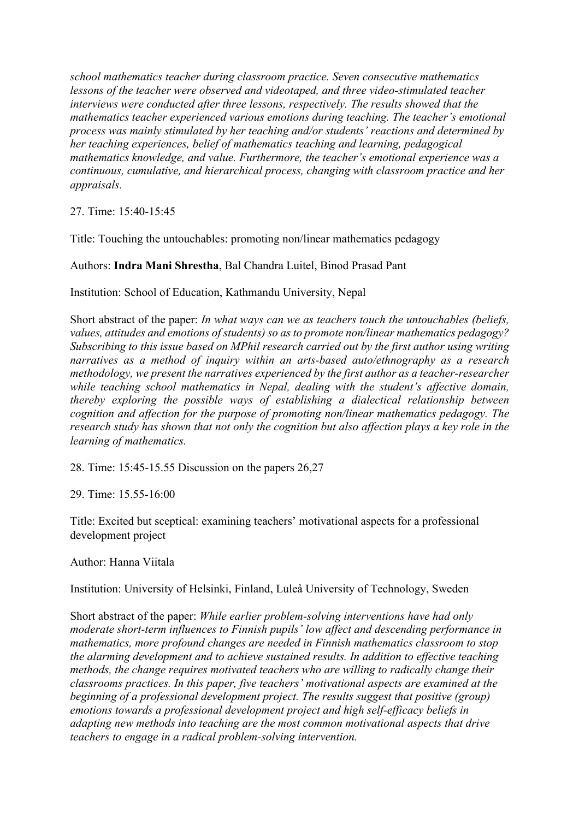*school mathematics teacher during classroom practice. Seven consecutive mathematics lessons of the teacher were observed and videotaped, and three video-stimulated teacher interviews were conducted after three lessons, respectively. The results showed that the mathematics teacher experienced various emotions during teaching. The teacher's emotional process was mainly stimulated by her teaching and/or students' reactions and determined by her teaching experiences, belief of mathematics teaching and learning, pedagogical mathematics knowledge, and value. Furthermore, the teacher's emotional experience was a continuous, cumulative, and hierarchical process, changing with classroom practice and her appraisals.*

27. Time: 15:40-15:45

Title: Touching the untouchables: promoting non/linear mathematics pedagogy

Authors: **Indra Mani Shrestha**, Bal Chandra Luitel, Binod Prasad Pant

Institution: School of Education, Kathmandu University, Nepal

Short abstract of the paper: *In what ways can we as teachers touch the untouchables (beliefs, values, attitudes and emotions of students) so as to promote non/linear mathematics pedagogy? Subscribing to this issue based on MPhil research carried out by the first author using writing narratives as a method of inquiry within an arts-based auto/ethnography as a research methodology, we present the narratives experienced by the first author as a teacher-researcher while teaching school mathematics in Nepal, dealing with the student's affective domain, thereby exploring the possible ways of establishing a dialectical relationship between cognition and affection for the purpose of promoting non/linear mathematics pedagogy. The research study has shown that not only the cognition but also affection plays a key role in the learning of mathematics.* 

28. Time: 15:45-15.55 Discussion on the papers 26,27

29. Time: 15.55-16:00

Title: Excited but sceptical: examining teachers' motivational aspects for a professional development project

Author: Hanna Viitala

Institution: University of Helsinki, Finland, Luleå University of Technology, Sweden

Short abstract of the paper: *While earlier problem-solving interventions have had only moderate short-term influences to Finnish pupils' low affect and descending performance in mathematics, more profound changes are needed in Finnish mathematics classroom to stop the alarming development and to achieve sustained results. In addition to effective teaching methods, the change requires motivated teachers who are willing to radically change their classrooms practices. In this paper, five teachers' motivational aspects are examined at the beginning of a professional development project. The results suggest that positive (group) emotions towards a professional development project and high self-efficacy beliefs in adapting new methods into teaching are the most common motivational aspects that drive teachers to engage in a radical problem-solving intervention.*